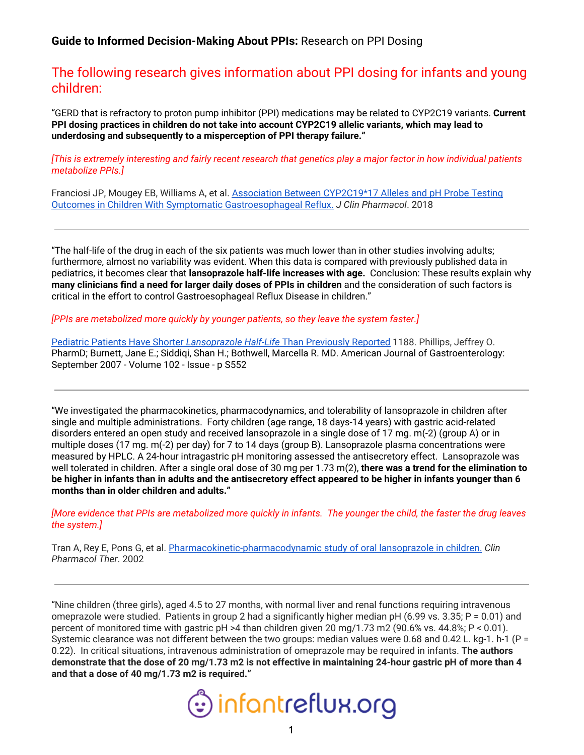**Guide to Informed Decision-Making About PPIs:** Research on PPI Dosing

## The following research gives information about PPI dosing for infants and young children:

"GERD that is refractory to proton pump inhibitor (PPI) medications may be related to CYP2C19 variants. **Current PPI dosing practices in children do not take into account CYP2C19 allelic variants, which may lead to underdosing and subsequently to a misperception of PPI therapy failure."**

[This is extremely interesting and fairly recent research that genetics play a major factor in how individual patients *metabolize PPIs.]*

Franciosi JP, Mougey EB, Williams A, et al. Association Between [CYP2C19\\*17](https://pubmed.ncbi.nlm.nih.gov/28884817-association-between-cyp2c1917-alleles-and-ph-probe-testing-outcomes-in-children-with-symptomatic-gastroesophageal-reflux/) Alleles and pH Probe Testing Outcomes in Children With Symptomatic [Gastroesophageal](https://pubmed.ncbi.nlm.nih.gov/28884817-association-between-cyp2c1917-alleles-and-ph-probe-testing-outcomes-in-children-with-symptomatic-gastroesophageal-reflux/) Reflux. *J Clin Pharmacol*. 2018

"The half-life of the drug in each of the six patients was much lower than in other studies involving adults; furthermore, almost no variability was evident. When this data is compared with previously published data in pediatrics, it becomes clear that **lansoprazole half-life increases with age.** Conclusion: These results explain why **many clinicians find a need for larger daily doses of PPIs in children** and the consideration of such factors is critical in the effort to control Gastroesophageal Reflux Disease in children."

*[PPIs are metabolized more quickly by younger patients, so they leave the system faster.]*

[Pediatric](https://journals.lww.com/ajg/Fulltext/2007/09002/Pediatric_Patients_Have_Shorter_Lansoprazole.1188.aspx) Patients Have Shorter *[Lansoprazole](https://journals.lww.com/ajg/Fulltext/2007/09002/Pediatric_Patients_Have_Shorter_Lansoprazole.1188.aspx) [Half](https://journals.lww.com/ajg/Fulltext/2007/09002/Pediatric_Patients_Have_Shorter_Lansoprazole.1188.aspx)*[-](https://journals.lww.com/ajg/Fulltext/2007/09002/Pediatric_Patients_Have_Shorter_Lansoprazole.1188.aspx)*[Life](https://journals.lww.com/ajg/Fulltext/2007/09002/Pediatric_Patients_Have_Shorter_Lansoprazole.1188.aspx)* Than [Previously](https://journals.lww.com/ajg/Fulltext/2007/09002/Pediatric_Patients_Have_Shorter_Lansoprazole.1188.aspx) Reported 1188. Phillips, Jeffrey O. PharmD; Burnett, Jane E.; Siddiqi, Shan H.; Bothwell, Marcella R. MD. American Journal of Gastroenterology: [September](https://journals.lww.com/ajg/toc/2007/09002) 2007 - Volume 102 - Issue - p S552

"We investigated the pharmacokinetics, pharmacodynamics, and tolerability of lansoprazole in children after single and multiple administrations. Forty children (age range, 18 days-14 years) with gastric acid-related disorders entered an open study and received lansoprazole in a single dose of 17 mg. m(-2) (group A) or in multiple doses (17 mg. m(-2) per day) for 7 to 14 days (group B). Lansoprazole plasma concentrations were measured by HPLC. A 24-hour intragastric pH monitoring assessed the antisecretory effect. Lansoprazole was well tolerated in children. After a single oral dose of 30 mg per 1.73 m(2), **there was a trend for the elimination to** be higher in infants than in adults and the antisecretory effect appeared to be higher in infants younger than 6 **months than in older children and adults."**

[More evidence that PPIs are metabolized more quickly in infants. The younger the child, the faster the drug leaves *the system.]*

Tran A, Rey E, Pons G, et al. [Pharmacokinetic-pharmacodynamic](https://pubmed.ncbi.nlm.nih.gov/12011821-pharmacokinetic-pharmacodynamic-study-of-oral-lansoprazole-in-children/) study of oral lansoprazole in children. *Clin Pharmacol Ther*. 2002

"Nine children (three girls), aged 4.5 to 27 months, with normal liver and renal functions requiring intravenous omeprazole were studied. Patients in group 2 had a significantly higher median pH (6.99 vs. 3.35;  $P = 0.01$ ) and percent of monitored time with gastric pH >4 than children given 20 mg/1.73 m2 (90.6% vs. 44.8%; P < 0.01). Systemic clearance was not different between the two groups: median values were 0.68 and 0.42 L. kg-1. h-1 (P = 0.22). In critical situations, intravenous administration of omeprazole may be required in infants. **The authors** demonstrate that the dose of 20 mg/1.73 m2 is not effective in maintaining 24-hour gastric pH of more than 4 **and that a dose of 40 mg/1.73 m2 is required."**

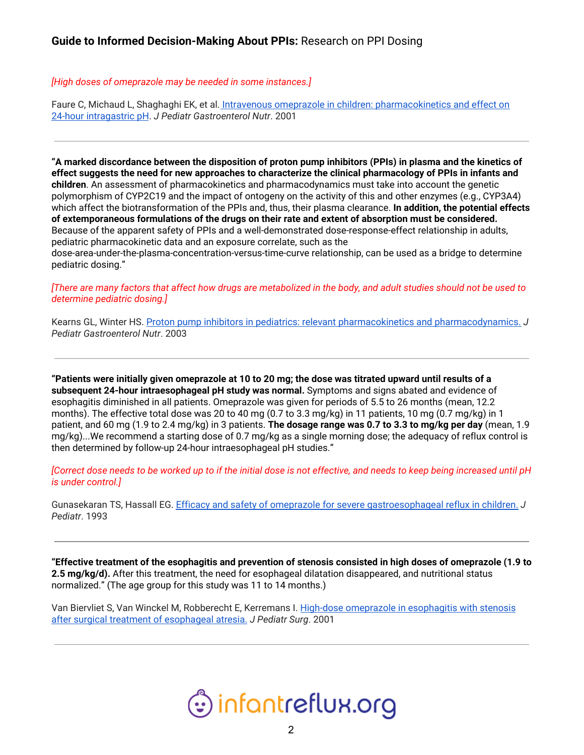## *[High doses of omeprazole may be needed in some instances.]*

Faure C, Michaud L, Shaghaghi EK, et al. Intravenous omeprazole in children: [pharmacokinetics](https://pubmed.ncbi.nlm.nih.gov/11568514-intravenous-omeprazole-in-children-pharmacokinetics-and-effect-on-24-hour-intragastric-ph/) and effect on 24-hour [intragastric](https://pubmed.ncbi.nlm.nih.gov/11568514-intravenous-omeprazole-in-children-pharmacokinetics-and-effect-on-24-hour-intragastric-ph/) pH. *J Pediatr Gastroenterol Nutr*. 2001

"A marked discordance between the disposition of proton pump inhibitors (PPIs) in plasma and the kinetics of effect suggests the need for new approaches to characterize the clinical pharmacology of PPIs in infants and **children**. An assessment of pharmacokinetics and pharmacodynamics must take into account the genetic polymorphism of CYP2C19 and the impact of ontogeny on the activity of this and other enzymes (e.g., CYP3A4) which affect the biotransformation of the PPIs and, thus, their plasma clearance. **In addition, the potential effects of extemporaneous formulations of the drugs on their rate and extent of absorption must be considered.** Because of the apparent safety of PPIs and a well-demonstrated dose-response-effect relationship in adults, pediatric pharmacokinetic data and an exposure correlate, such as the

dose-area-under-the-plasma-concentration-versus-time-curve relationship, can be used as a bridge to determine pediatric dosing."

[There are many factors that affect how drugs are metabolized in the body, and adult studies should not be used to *determine pediatric dosing.]*

Kearns GL, Winter HS. Proton pump inhibitors in pediatrics: relevant pharmacokinetics and [pharmacodynamics.](https://pubmed.ncbi.nlm.nih.gov/14685079-proton-pump-inhibitors-in-pediatrics-relevant-pharmacokinetics-and-pharmacodynamics/) *J Pediatr Gastroenterol Nutr*. 2003

"Patients were initially given omeprazole at 10 to 20 mg; the dose was titrated upward until results of a **subsequent 24-hour intraesophageal pH study was normal.** Symptoms and signs abated and evidence of esophagitis diminished in all patients. Omeprazole was given for periods of 5.5 to 26 months (mean, 12.2 months). The effective total dose was 20 to 40 mg (0.7 to 3.3 mg/kg) in 11 patients, 10 mg (0.7 mg/kg) in 1 patient, and 60 mg (1.9 to 2.4 mg/kg) in 3 patients. **The dosage range was 0.7 to 3.3 to mg/kg per day** (mean, 1.9 mg/kg)...We recommend a starting dose of 0.7 mg/kg as a single morning dose; the adequacy of reflux control is then determined by follow-up 24-hour intraesophageal pH studies."

[Correct dose needs to be worked up to if the initial dose is not effective, and needs to keep being increased until pH *is under control.]*

Gunasekaran TS, Hassall EG. Efficacy and safety of omeprazole for severe [gastroesophageal](https://pubmed.ncbi.nlm.nih.gov/8320610-efficacy-and-safety-of-omeprazole-for-severe-gastroesophageal-reflux-in-children/) reflux in children. *J Pediatr*. 1993

"Effective treatment of the esophagitis and prevention of stenosis consisted in high doses of omeprazole (1.9 to **2.5 mg/kg/d).** After this treatment, the need for esophageal dilatation disappeared, and nutritional status normalized." (The age group for this study was 11 to 14 months.)

Van Biervliet S, Van Winckel M, Robberecht E, Kerremans I. High-dose [omeprazole](https://pubmed.ncbi.nlm.nih.gov/11528618-high-dose-omeprazole-in-esophagitis-with-stenosis-after-surgical-treatment-of-esophageal-atresia/) in esophagitis with stenosis after surgical treatment of [esophageal](https://pubmed.ncbi.nlm.nih.gov/11528618-high-dose-omeprazole-in-esophagitis-with-stenosis-after-surgical-treatment-of-esophageal-atresia/) atresia. *J Pediatr Surg*. 2001

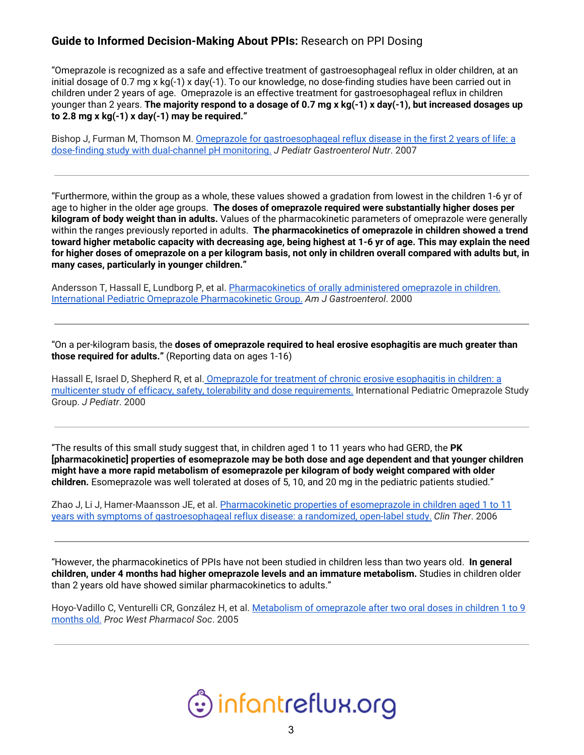## **Guide to Informed Decision-Making About PPIs:** Research on PPI Dosing

"Omeprazole is recognized as a safe and effective treatment of gastroesophageal reflux in older children, at an initial dosage of 0.7 mg x kg(-1) x day(-1). To our knowledge, no dose-finding studies have been carried out in children under 2 years of age. Omeprazole is an effective treatment for gastroesophageal reflux in children younger than 2 years. The majority respond to a dosage of 0.7 mg x kg(-1) x day(-1), but increased dosages up **to 2.8 mg x kg(-1) x day(-1) may be required."**

Bishop J, Furman M, Thomson M. Omeprazole for [gastroesophageal](https://pubmed.ncbi.nlm.nih.gov/17592364-omeprazole-for-gastroesophageal-reflux-disease-in-the-first-2-years-of-life-a-dose-finding-study-with-dual-channel-ph-monitoring/) reflux disease in the first 2 years of life: a dose-finding study with [dual-channel](https://pubmed.ncbi.nlm.nih.gov/17592364-omeprazole-for-gastroesophageal-reflux-disease-in-the-first-2-years-of-life-a-dose-finding-study-with-dual-channel-ph-monitoring/) pH monitoring. *J Pediatr Gastroenterol Nutr*. 2007

"Furthermore, within the group as a whole, these values showed a gradation from lowest in the children 1-6 yr of age to higher in the older age groups. **The doses of omeprazole required were substantially higher doses per kilogram of body weight than in adults.** Values of the pharmacokinetic parameters of omeprazole were generally within the ranges previously reported in adults. **The pharmacokinetics of omeprazole in children showed a trend** toward higher metabolic capacity with decreasing age, being highest at 1-6 yr of age. This may explain the need for higher doses of omeprazole on a per kilogram basis, not only in children overall compared with adults but, in **many cases, particularly in younger children."**

Andersson T, Hassall E, Lundborg P, et al. [Pharmacokinetics](https://pubmed.ncbi.nlm.nih.gov/11095324-pharmacokinetics-of-orally-administered-omeprazole-in-children-international-pediatric-omeprazole-pharmacokinetic-group/) of orally administered omeprazole in children. International Pediatric Omeprazole [Pharmacokinetic](https://pubmed.ncbi.nlm.nih.gov/11095324-pharmacokinetics-of-orally-administered-omeprazole-in-children-international-pediatric-omeprazole-pharmacokinetic-group/) Group. *Am J Gastroenterol*. 2000

"On a per-kilogram basis, the **doses of omeprazole required to heal erosive esophagitis are much greater than those required for adults."** (Reporting data on ages 1-16)

Hassall E, Israel D, Shepherd R, et al. [Omeprazole](https://pubmed.ncbi.nlm.nih.gov/11113836-omeprazole-for-treatment-of-chronic-erosive-esophagitis-in-children-a-multicenter-study-of-efficacy-safety-tolerability-and-dose-requirements-international-pediatric-omeprazole-study-group/) for treatment of chronic erosive esophagitis in children: a multicenter study of efficacy, safety, tolerability and dose [requirements.](https://pubmed.ncbi.nlm.nih.gov/11113836-omeprazole-for-treatment-of-chronic-erosive-esophagitis-in-children-a-multicenter-study-of-efficacy-safety-tolerability-and-dose-requirements-international-pediatric-omeprazole-study-group/) International Pediatric Omeprazole Study Group. *J Pediatr*. 2000

"The results of this small study suggest that, in children aged 1 to 11 years who had GERD, the **PK [pharmacokinetic] properties of esomeprazole may be both dose and age dependent and that younger children might have a more rapid metabolism of esomeprazole per kilogram of body weight compared with older children.** Esomeprazole was well tolerated at doses of 5, 10, and 20 mg in the pediatric patients studied."

Zhao J, Li J, Hamer-Maansson JE, et al. [Pharmacokinetic](https://pubmed.ncbi.nlm.nih.gov/17213007-pharmacokinetic-properties-of-esomeprazole-in-children-aged-1-to-11-years-with-symptoms-of-gastroesophageal-reflux-disease-a-randomized-open-label-study/) properties of esomeprazole in children aged 1 to 11 years with symptoms of [gastroesophageal](https://pubmed.ncbi.nlm.nih.gov/17213007-pharmacokinetic-properties-of-esomeprazole-in-children-aged-1-to-11-years-with-symptoms-of-gastroesophageal-reflux-disease-a-randomized-open-label-study/) reflux disease: a randomized, open-label study. *Clin Ther*. 2006

"However, the pharmacokinetics of PPIs have not been studied in children less than two years old. **In general children, under 4 months had higher omeprazole levels and an immature metabolism.** Studies in children older than 2 years old have showed similar pharmacokinetics to adults."

Hoyo-Vadillo C, Venturelli CR, González H, et al. Metabolism of [omeprazole](https://pubmed.ncbi.nlm.nih.gov/16416673-metabolism-of-omeprazole-after-two-oral-doses-in-children-1-to-9-months-old/) after two oral doses in children 1 to 9 [months](https://pubmed.ncbi.nlm.nih.gov/16416673-metabolism-of-omeprazole-after-two-oral-doses-in-children-1-to-9-months-old/) old. *Proc West Pharmacol Soc*. 2005